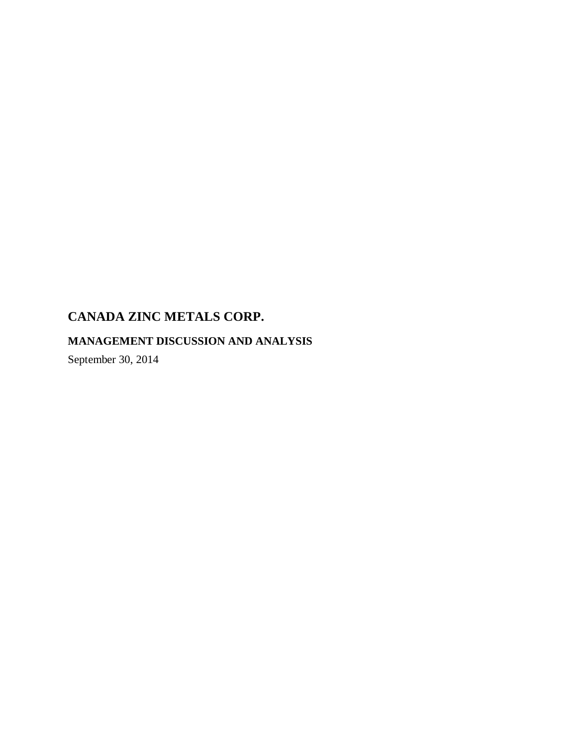# **MANAGEMENT DISCUSSION AND ANALYSIS**

September 30, 2014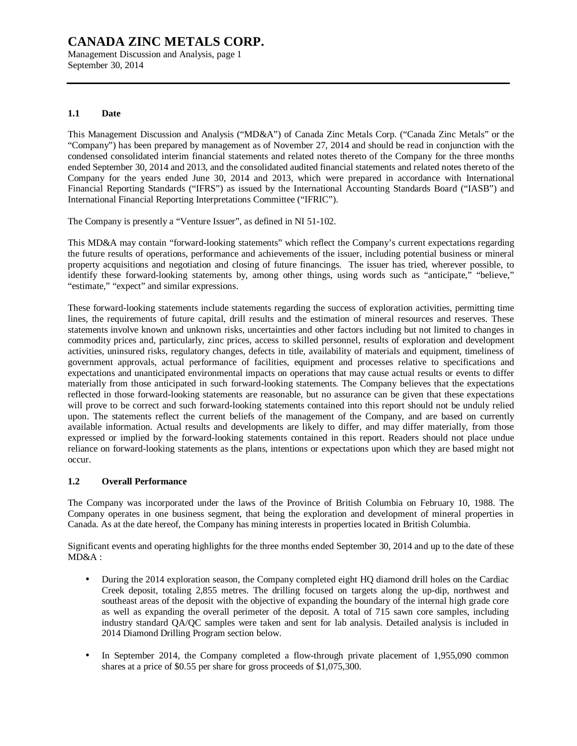Management Discussion and Analysis, page 1 September 30, 2014

### **1.1 Date**

This Management Discussion and Analysis ("MD&A") of Canada Zinc Metals Corp. ("Canada Zinc Metals" or the "Company") has been prepared by management as of November 27, 2014 and should be read in conjunction with the condensed consolidated interim financial statements and related notes thereto of the Company for the three months ended September 30, 2014 and 2013, and the consolidated audited financial statements and related notes thereto of the Company for the years ended June 30, 2014 and 2013, which were prepared in accordance with International Financial Reporting Standards ("IFRS") as issued by the International Accounting Standards Board ("IASB") and International Financial Reporting Interpretations Committee ("IFRIC").

The Company is presently a "Venture Issuer", as defined in NI 51-102.

This MD&A may contain "forward-looking statements" which reflect the Company's current expectations regarding the future results of operations, performance and achievements of the issuer, including potential business or mineral property acquisitions and negotiation and closing of future financings. The issuer has tried, wherever possible, to identify these forward-looking statements by, among other things, using words such as "anticipate," "believe," "estimate," "expect" and similar expressions.

These forward-looking statements include statements regarding the success of exploration activities, permitting time lines, the requirements of future capital, drill results and the estimation of mineral resources and reserves. These statements involve known and unknown risks, uncertainties and other factors including but not limited to changes in commodity prices and, particularly, zinc prices, access to skilled personnel, results of exploration and development activities, uninsured risks, regulatory changes, defects in title, availability of materials and equipment, timeliness of government approvals, actual performance of facilities, equipment and processes relative to specifications and expectations and unanticipated environmental impacts on operations that may cause actual results or events to differ materially from those anticipated in such forward-looking statements. The Company believes that the expectations reflected in those forward-looking statements are reasonable, but no assurance can be given that these expectations will prove to be correct and such forward-looking statements contained into this report should not be unduly relied upon. The statements reflect the current beliefs of the management of the Company, and are based on currently available information. Actual results and developments are likely to differ, and may differ materially, from those expressed or implied by the forward-looking statements contained in this report. Readers should not place undue reliance on forward-looking statements as the plans, intentions or expectations upon which they are based might not occur.

### **1.2 Overall Performance**

The Company was incorporated under the laws of the Province of British Columbia on February 10, 1988. The Company operates in one business segment, that being the exploration and development of mineral properties in Canada. As at the date hereof, the Company has mining interests in properties located in British Columbia.

Significant events and operating highlights for the three months ended September 30, 2014 and up to the date of these MD&A :

- During the 2014 exploration season, the Company completed eight HQ diamond drill holes on the Cardiac Creek deposit, totaling 2,855 metres. The drilling focused on targets along the up-dip, northwest and southeast areas of the deposit with the objective of expanding the boundary of the internal high grade core as well as expanding the overall perimeter of the deposit. A total of 715 sawn core samples, including industry standard QA/QC samples were taken and sent for lab analysis. Detailed analysis is included in 2014 Diamond Drilling Program section below.
- In September 2014, the Company completed a flow-through private placement of 1,955,090 common shares at a price of \$0.55 per share for gross proceeds of \$1,075,300.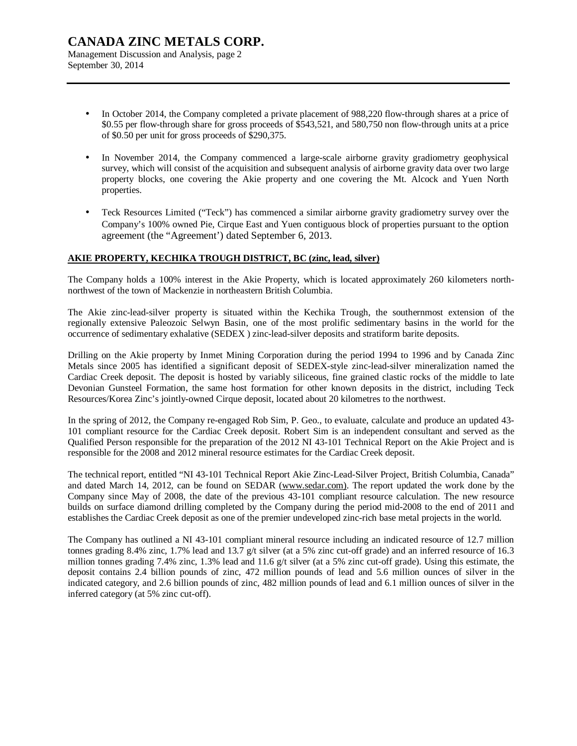### **CANADA ZINC METALS CORP.**  Management Discussion and Analysis, page 2

September 30, 2014

- In October 2014, the Company completed a private placement of 988,220 flow-through shares at a price of \$0.55 per flow-through share for gross proceeds of \$543,521, and 580,750 non flow-through units at a price of \$0.50 per unit for gross proceeds of \$290,375.
- In November 2014, the Company commenced a large-scale airborne gravity gradiometry geophysical survey, which will consist of the acquisition and subsequent analysis of airborne gravity data over two large property blocks, one covering the Akie property and one covering the Mt. Alcock and Yuen North properties.
- Teck Resources Limited ("Teck") has commenced a similar airborne gravity gradiometry survey over the Company's 100% owned Pie, Cirque East and Yuen contiguous block of properties pursuant to the option agreement (the "Agreement') dated September 6, 2013.

### **AKIE PROPERTY, KECHIKA TROUGH DISTRICT, BC (zinc, lead, silver)**

The Company holds a 100% interest in the Akie Property, which is located approximately 260 kilometers northnorthwest of the town of Mackenzie in northeastern British Columbia.

The Akie zinc-lead-silver property is situated within the Kechika Trough, the southernmost extension of the regionally extensive Paleozoic Selwyn Basin, one of the most prolific sedimentary basins in the world for the occurrence of sedimentary exhalative (SEDEX ) zinc-lead-silver deposits and stratiform barite deposits.

Drilling on the Akie property by Inmet Mining Corporation during the period 1994 to 1996 and by Canada Zinc Metals since 2005 has identified a significant deposit of SEDEX-style zinc-lead-silver mineralization named the Cardiac Creek deposit. The deposit is hosted by variably siliceous, fine grained clastic rocks of the middle to late Devonian Gunsteel Formation, the same host formation for other known deposits in the district, including Teck Resources/Korea Zinc's jointly-owned Cirque deposit, located about 20 kilometres to the northwest.

In the spring of 2012, the Company re-engaged Rob Sim, P. Geo., to evaluate, calculate and produce an updated 43- 101 compliant resource for the Cardiac Creek deposit. Robert Sim is an independent consultant and served as the Qualified Person responsible for the preparation of the 2012 NI 43-101 Technical Report on the Akie Project and is responsible for the 2008 and 2012 mineral resource estimates for the Cardiac Creek deposit.

The technical report, entitled "NI 43-101 Technical Report Akie Zinc-Lead-Silver Project, British Columbia, Canada" and dated March 14, 2012, can be found on SEDAR ([www.sedar.com\).](http://www.sedar.com)) The report updated the work done by the Company since May of 2008, the date of the previous 43-101 compliant resource calculation. The new resource builds on surface diamond drilling completed by the Company during the period mid-2008 to the end of 2011 and establishes the Cardiac Creek deposit as one of the premier undeveloped zinc-rich base metal projects in the world.

The Company has outlined a NI 43-101 compliant mineral resource including an indicated resource of 12.7 million tonnes grading 8.4% zinc, 1.7% lead and 13.7 g/t silver (at a 5% zinc cut-off grade) and an inferred resource of 16.3 million tonnes grading 7.4% zinc, 1.3% lead and 11.6 g/t silver (at a 5% zinc cut-off grade). Using this estimate, the deposit contains 2.4 billion pounds of zinc, 472 million pounds of lead and 5.6 million ounces of silver in the indicated category, and 2.6 billion pounds of zinc, 482 million pounds of lead and 6.1 million ounces of silver in the inferred category (at 5% zinc cut-off).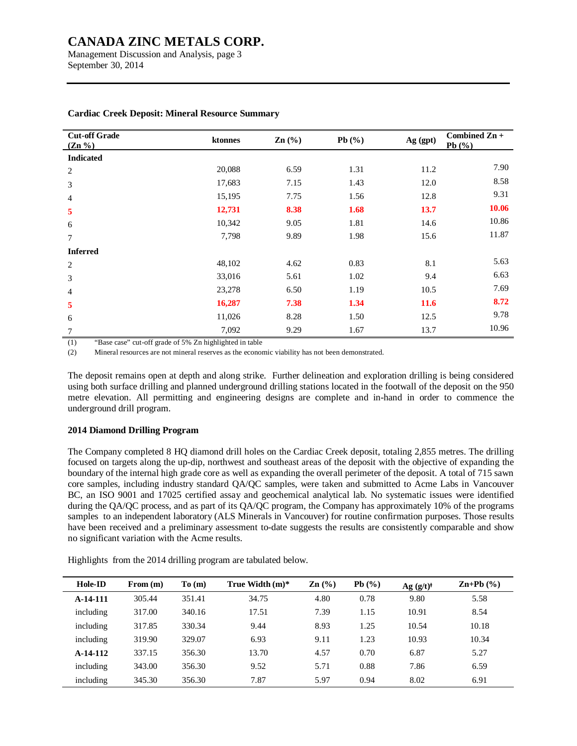Management Discussion and Analysis, page 3 September 30, 2014

| <b>Cut-off Grade</b><br>$(Zn\% )$ | ktonnes | $\text{Zn}$ $\left(\frac{9}{6}\right)$ | Pb $(\%)$ | Ag (gpt) | Combined $Zn +$<br>Pb $(\%)$ |
|-----------------------------------|---------|----------------------------------------|-----------|----------|------------------------------|
| <b>Indicated</b>                  |         |                                        |           |          |                              |
| 2                                 | 20,088  | 6.59                                   | 1.31      | 11.2     | 7.90                         |
| 3                                 | 17,683  | 7.15                                   | 1.43      | 12.0     | 8.58                         |
| $\overline{4}$                    | 15,195  | 7.75                                   | 1.56      | 12.8     | 9.31                         |
| 5                                 | 12,731  | 8.38                                   | 1.68      | 13.7     | 10.06                        |
| 6                                 | 10,342  | 9.05                                   | 1.81      | 14.6     | 10.86                        |
| 7                                 | 7,798   | 9.89                                   | 1.98      | 15.6     | 11.87                        |
| <b>Inferred</b>                   |         |                                        |           |          |                              |
| 2                                 | 48,102  | 4.62                                   | 0.83      | 8.1      | 5.63                         |
| 3                                 | 33,016  | 5.61                                   | 1.02      | 9.4      | 6.63                         |
| $\overline{4}$                    | 23,278  | 6.50                                   | 1.19      | 10.5     | 7.69                         |
| 5                                 | 16,287  | 7.38                                   | 1.34      | 11.6     | 8.72                         |
| 6                                 | 11,026  | 8.28                                   | 1.50      | 12.5     | 9.78                         |
| 7                                 | 7,092   | 9.29                                   | 1.67      | 13.7     | 10.96                        |

#### **Cardiac Creek Deposit: Mineral Resource Summary**

(1) "Base case" cut-off grade of 5% Zn highlighted in table

(2) Mineral resources are not mineral reserves as the economic viability has not been demonstrated.

The deposit remains open at depth and along strike. Further delineation and exploration drilling is being considered using both surface drilling and planned underground drilling stations located in the footwall of the deposit on the 950 metre elevation. All permitting and engineering designs are complete and in-hand in order to commence the underground drill program.

### **2014 Diamond Drilling Program**

The Company completed 8 HQ diamond drill holes on the Cardiac Creek deposit, totaling 2,855 metres. The drilling focused on targets along the up-dip, northwest and southeast areas of the deposit with the objective of expanding the boundary of the internal high grade core as well as expanding the overall perimeter of the deposit. A total of 715 sawn core samples, including industry standard QA/QC samples, were taken and submitted to Acme Labs in Vancouver BC, an ISO 9001 and 17025 certified assay and geochemical analytical lab. No systematic issues were identified during the QA/QC process, and as part of its QA/QC program, the Company has approximately 10% of the programs samples to an independent laboratory (ALS Minerals in Vancouver) for routine confirmation purposes. Those results have been received and a preliminary assessment to-date suggests the results are consistently comparable and show no significant variation with the Acme results.

Highlights from the 2014 drilling program are tabulated below.

| Hole-ID    | From (m) | To(m)  | True Width $(m)^*$ | $\mathbf{Zn}$ (%) | Pb(%) | Ag (g/t) | $\mathbf{Zn+Pb}$ (%) |
|------------|----------|--------|--------------------|-------------------|-------|----------|----------------------|
| $A-14-111$ | 305.44   | 351.41 | 34.75              | 4.80              | 0.78  | 9.80     | 5.58                 |
| including  | 317.00   | 340.16 | 17.51              | 7.39              | 1.15  | 10.91    | 8.54                 |
| including  | 317.85   | 330.34 | 9.44               | 8.93              | 1.25  | 10.54    | 10.18                |
| including  | 319.90   | 329.07 | 6.93               | 9.11              | 1.23  | 10.93    | 10.34                |
| $A-14-112$ | 337.15   | 356.30 | 13.70              | 4.57              | 0.70  | 6.87     | 5.27                 |
| including  | 343.00   | 356.30 | 9.52               | 5.71              | 0.88  | 7.86     | 6.59                 |
| including  | 345.30   | 356.30 | 7.87               | 5.97              | 0.94  | 8.02     | 6.91                 |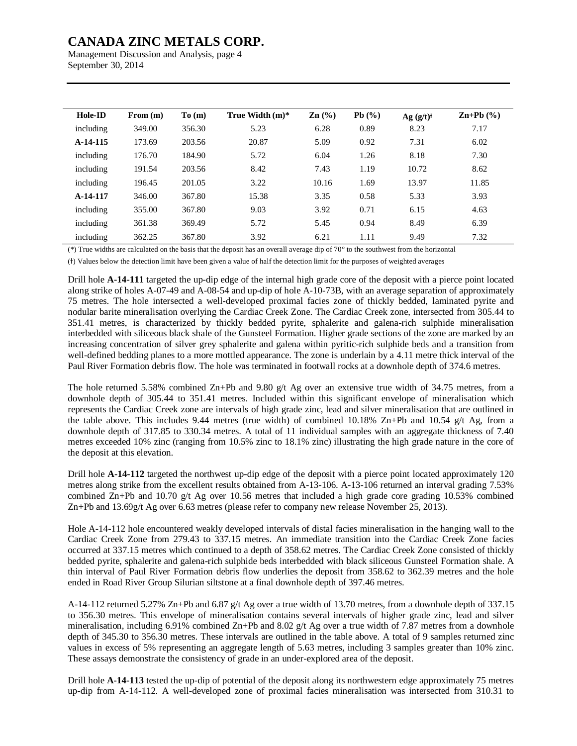Management Discussion and Analysis, page 4 September 30, 2014

| Hole-ID   | From (m) | To(m)  | True Width $(m)^*$ | $\text{Zn}$ $\left(\frac{9}{6}\right)$ | Pb $(\%)$ | $Ag (g/t)^{\dagger}$ | $\mathbf{Zn+Pb}$ (%) |
|-----------|----------|--------|--------------------|----------------------------------------|-----------|----------------------|----------------------|
| including | 349.00   | 356.30 | 5.23               | 6.28                                   | 0.89      | 8.23                 | 7.17                 |
| A-14-115  | 173.69   | 203.56 | 20.87              | 5.09                                   | 0.92      | 7.31                 | 6.02                 |
| including | 176.70   | 184.90 | 5.72               | 6.04                                   | 1.26      | 8.18                 | 7.30                 |
| including | 191.54   | 203.56 | 8.42               | 7.43                                   | 1.19      | 10.72                | 8.62                 |
| including | 196.45   | 201.05 | 3.22               | 10.16                                  | 1.69      | 13.97                | 11.85                |
| A-14-117  | 346.00   | 367.80 | 15.38              | 3.35                                   | 0.58      | 5.33                 | 3.93                 |
| including | 355.00   | 367.80 | 9.03               | 3.92                                   | 0.71      | 6.15                 | 4.63                 |
| including | 361.38   | 369.49 | 5.72               | 5.45                                   | 0.94      | 8.49                 | 6.39                 |
| including | 362.25   | 367.80 | 3.92               | 6.21                                   | 1.11      | 9.49                 | 7.32                 |

(\*) True widths are calculated on the basis that the deposit has an overall average dip of 70° to the southwest from the horizontal

(Ɨ) Values below the detection limit have been given a value of half the detection limit for the purposes of weighted averages

Drill hole **A-14-111** targeted the up-dip edge of the internal high grade core of the deposit with a pierce point located along strike of holes A-07-49 and A-08-54 and up-dip of hole A-10-73B, with an average separation of approximately 75 metres. The hole intersected a well-developed proximal facies zone of thickly bedded, laminated pyrite and nodular barite mineralisation overlying the Cardiac Creek Zone. The Cardiac Creek zone, intersected from 305.44 to 351.41 metres, is characterized by thickly bedded pyrite, sphalerite and galena-rich sulphide mineralisation interbedded with siliceous black shale of the Gunsteel Formation. Higher grade sections of the zone are marked by an increasing concentration of silver grey sphalerite and galena within pyritic-rich sulphide beds and a transition from well-defined bedding planes to a more mottled appearance. The zone is underlain by a 4.11 metre thick interval of the Paul River Formation debris flow. The hole was terminated in footwall rocks at a downhole depth of 374.6 metres.

The hole returned 5.58% combined Zn+Pb and 9.80 g/t Ag over an extensive true width of 34.75 metres, from a downhole depth of 305.44 to 351.41 metres. Included within this significant envelope of mineralisation which represents the Cardiac Creek zone are intervals of high grade zinc, lead and silver mineralisation that are outlined in the table above. This includes 9.44 metres (true width) of combined 10.18% Zn+Pb and 10.54 g/t Ag, from a downhole depth of 317.85 to 330.34 metres. A total of 11 individual samples with an aggregate thickness of 7.40 metres exceeded 10% zinc (ranging from 10.5% zinc to 18.1% zinc) illustrating the high grade nature in the core of the deposit at this elevation.

Drill hole **A-14-112** targeted the northwest up-dip edge of the deposit with a pierce point located approximately 120 metres along strike from the excellent results obtained from A-13-106. A-13-106 returned an interval grading 7.53% combined Zn+Pb and 10.70 g/t Ag over 10.56 metres that included a high grade core grading 10.53% combined Zn+Pb and 13.69g/t Ag over 6.63 metres (please refer to company new release November 25, 2013).

Hole A-14-112 hole encountered weakly developed intervals of distal facies mineralisation in the hanging wall to the Cardiac Creek Zone from 279.43 to 337.15 metres. An immediate transition into the Cardiac Creek Zone facies occurred at 337.15 metres which continued to a depth of 358.62 metres. The Cardiac Creek Zone consisted of thickly bedded pyrite, sphalerite and galena-rich sulphide beds interbedded with black siliceous Gunsteel Formation shale. A thin interval of Paul River Formation debris flow underlies the deposit from 358.62 to 362.39 metres and the hole ended in Road River Group Silurian siltstone at a final downhole depth of 397.46 metres.

A-14-112 returned 5.27% Zn+Pb and 6.87 g/t Ag over a true width of 13.70 metres, from a downhole depth of 337.15 to 356.30 metres. This envelope of mineralisation contains several intervals of higher grade zinc, lead and silver mineralisation, including 6.91% combined Zn+Pb and 8.02 g/t Ag over a true width of 7.87 metres from a downhole depth of 345.30 to 356.30 metres. These intervals are outlined in the table above. A total of 9 samples returned zinc values in excess of 5% representing an aggregate length of 5.63 metres, including 3 samples greater than 10% zinc. These assays demonstrate the consistency of grade in an under-explored area of the deposit.

Drill hole **A-14-113** tested the up-dip of potential of the deposit along its northwestern edge approximately 75 metres up-dip from A-14-112. A well-developed zone of proximal facies mineralisation was intersected from 310.31 to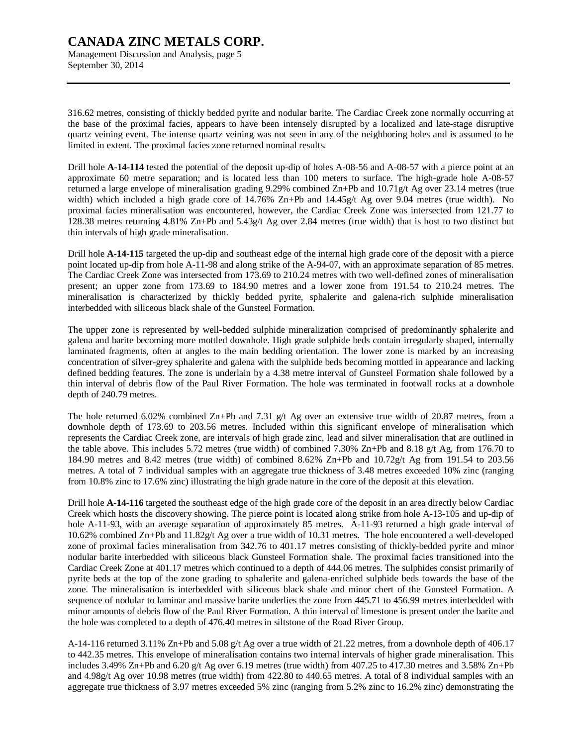Management Discussion and Analysis, page 5 September 30, 2014

316.62 metres, consisting of thickly bedded pyrite and nodular barite. The Cardiac Creek zone normally occurring at the base of the proximal facies, appears to have been intensely disrupted by a localized and late-stage disruptive quartz veining event. The intense quartz veining was not seen in any of the neighboring holes and is assumed to be limited in extent. The proximal facies zone returned nominal results.

Drill hole **A-14-114** tested the potential of the deposit up-dip of holes A-08-56 and A-08-57 with a pierce point at an approximate 60 metre separation; and is located less than 100 meters to surface. The high-grade hole A-08-57 returned a large envelope of mineralisation grading 9.29% combined Zn+Pb and 10.71g/t Ag over 23.14 metres (true width) which included a high grade core of 14.76% Zn+Pb and 14.45g/t Ag over 9.04 metres (true width). No proximal facies mineralisation was encountered, however, the Cardiac Creek Zone was intersected from 121.77 to 128.38 metres returning 4.81% Zn+Pb and 5.43g/t Ag over 2.84 metres (true width) that is host to two distinct but thin intervals of high grade mineralisation.

Drill hole **A-14-115** targeted the up-dip and southeast edge of the internal high grade core of the deposit with a pierce point located up-dip from hole A-11-98 and along strike of the A-94-07, with an approximate separation of 85 metres. The Cardiac Creek Zone was intersected from 173.69 to 210.24 metres with two well-defined zones of mineralisation present; an upper zone from 173.69 to 184.90 metres and a lower zone from 191.54 to 210.24 metres. The mineralisation is characterized by thickly bedded pyrite, sphalerite and galena-rich sulphide mineralisation interbedded with siliceous black shale of the Gunsteel Formation.

The upper zone is represented by well-bedded sulphide mineralization comprised of predominantly sphalerite and galena and barite becoming more mottled downhole. High grade sulphide beds contain irregularly shaped, internally laminated fragments, often at angles to the main bedding orientation. The lower zone is marked by an increasing concentration of silver-grey sphalerite and galena with the sulphide beds becoming mottled in appearance and lacking defined bedding features. The zone is underlain by a 4.38 metre interval of Gunsteel Formation shale followed by a thin interval of debris flow of the Paul River Formation. The hole was terminated in footwall rocks at a downhole depth of 240.79 metres.

The hole returned 6.02% combined Zn+Pb and 7.31 g/t Ag over an extensive true width of 20.87 metres, from a downhole depth of 173.69 to 203.56 metres. Included within this significant envelope of mineralisation which represents the Cardiac Creek zone, are intervals of high grade zinc, lead and silver mineralisation that are outlined in the table above. This includes 5.72 metres (true width) of combined 7.30% Zn+Pb and 8.18 g/t Ag, from 176.70 to 184.90 metres and 8.42 metres (true width) of combined 8.62% Zn+Pb and 10.72g/t Ag from 191.54 to 203.56 metres. A total of 7 individual samples with an aggregate true thickness of 3.48 metres exceeded 10% zinc (ranging from 10.8% zinc to 17.6% zinc) illustrating the high grade nature in the core of the deposit at this elevation.

Drill hole **A-14-116** targeted the southeast edge of the high grade core of the deposit in an area directly below Cardiac Creek which hosts the discovery showing. The pierce point is located along strike from hole A-13-105 and up-dip of hole A-11-93, with an average separation of approximately 85 metres. A-11-93 returned a high grade interval of 10.62% combined Zn+Pb and 11.82g/t Ag over a true width of 10.31 metres. The hole encountered a well-developed zone of proximal facies mineralisation from 342.76 to 401.17 metres consisting of thickly-bedded pyrite and minor nodular barite interbedded with siliceous black Gunsteel Formation shale. The proximal facies transitioned into the Cardiac Creek Zone at 401.17 metres which continued to a depth of 444.06 metres. The sulphides consist primarily of pyrite beds at the top of the zone grading to sphalerite and galena-enriched sulphide beds towards the base of the zone. The mineralisation is interbedded with siliceous black shale and minor chert of the Gunsteel Formation. A sequence of nodular to laminar and massive barite underlies the zone from 445.71 to 456.99 metres interbedded with minor amounts of debris flow of the Paul River Formation. A thin interval of limestone is present under the barite and the hole was completed to a depth of 476.40 metres in siltstone of the Road River Group.

A-14-116 returned 3.11% Zn+Pb and 5.08 g/t Ag over a true width of 21.22 metres, from a downhole depth of 406.17 to 442.35 metres. This envelope of mineralisation contains two internal intervals of higher grade mineralisation. This includes 3.49% Zn+Pb and 6.20 g/t Ag over 6.19 metres (true width) from 407.25 to 417.30 metres and 3.58% Zn+Pb and 4.98g/t Ag over 10.98 metres (true width) from 422.80 to 440.65 metres. A total of 8 individual samples with an aggregate true thickness of 3.97 metres exceeded 5% zinc (ranging from 5.2% zinc to 16.2% zinc) demonstrating the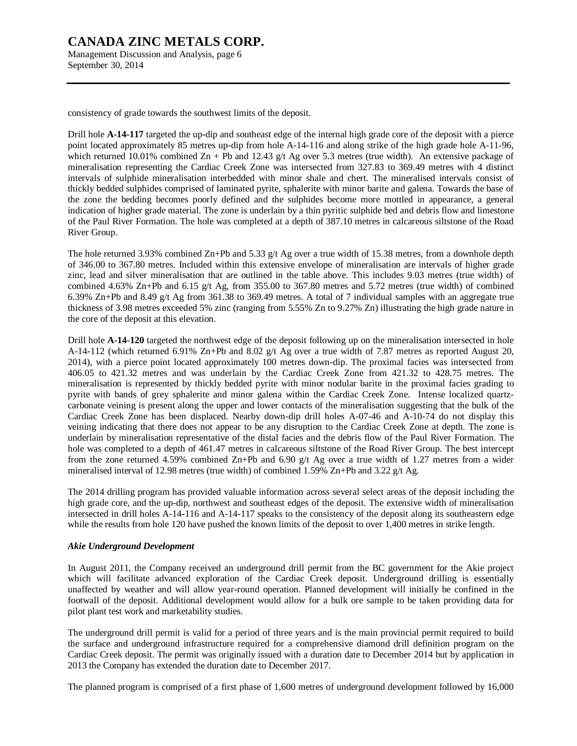Management Discussion and Analysis, page 6 September 30, 2014

consistency of grade towards the southwest limits of the deposit.

Drill hole **A-14-117** targeted the up-dip and southeast edge of the internal high grade core of the deposit with a pierce point located approximately 85 metres up-dip from hole A-14-116 and along strike of the high grade hole A-11-96, which returned 10.01% combined  $\text{Zn} + \text{Pb}$  and 12.43 g/t Ag over 5.3 metres (true width). An extensive package of mineralisation representing the Cardiac Creek Zone was intersected from 327.83 to 369.49 metres with 4 distinct intervals of sulphide mineralisation interbedded with minor shale and chert. The mineralised intervals consist of thickly bedded sulphides comprised of laminated pyrite, sphalerite with minor barite and galena. Towards the base of the zone the bedding becomes poorly defined and the sulphides become more mottled in appearance, a general indication of higher grade material. The zone is underlain by a thin pyritic sulphide bed and debris flow and limestone of the Paul River Formation. The hole was completed at a depth of 387.10 metres in calcareous siltstone of the Road River Group.

The hole returned 3.93% combined Zn+Pb and 5.33 g/t Ag over a true width of 15.38 metres, from a downhole depth of 346.00 to 367.80 metres. Included within this extensive envelope of mineralisation are intervals of higher grade zinc, lead and silver mineralisation that are outlined in the table above. This includes 9.03 metres (true width) of combined 4.63% Zn+Pb and 6.15 g/t Ag, from 355.00 to 367.80 metres and 5.72 metres (true width) of combined 6.39% Zn+Pb and 8.49 g/t Ag from 361.38 to 369.49 metres. A total of 7 individual samples with an aggregate true thickness of 3.98 metres exceeded 5% zinc (ranging from 5.55% Zn to 9.27% Zn) illustrating the high grade nature in the core of the deposit at this elevation.

Drill hole **A-14-120** targeted the northwest edge of the deposit following up on the mineralisation intersected in hole A-14-112 (which returned 6.91% Zn+Pb and 8.02 g/t Ag over a true width of 7.87 metres as reported August 20, 2014), with a pierce point located approximately 100 metres down-dip. The proximal facies was intersected from 406.05 to 421.32 metres and was underlain by the Cardiac Creek Zone from 421.32 to 428.75 metres. The mineralisation is represented by thickly bedded pyrite with minor nodular barite in the proximal facies grading to pyrite with bands of grey sphalerite and minor galena within the Cardiac Creek Zone. Intense localized quartzcarbonate veining is present along the upper and lower contacts of the mineralisation suggesting that the bulk of the Cardiac Creek Zone has been displaced. Nearby down-dip drill holes A-07-46 and A-10-74 do not display this veining indicating that there does not appear to be any disruption to the Cardiac Creek Zone at depth. The zone is underlain by mineralisation representative of the distal facies and the debris flow of the Paul River Formation. The hole was completed to a depth of 461.47 metres in calcareous siltstone of the Road River Group. The best intercept from the zone returned 4.59% combined Zn+Pb and 6.90 g/t Ag over a true width of 1.27 metres from a wider mineralised interval of 12.98 metres (true width) of combined 1.59% Zn+Pb and 3.22  $g/t$  Ag.

The 2014 drilling program has provided valuable information across several select areas of the deposit including the high grade core, and the up-dip, northwest and southeast edges of the deposit. The extensive width of mineralisation intersected in drill holes A-14-116 and A-14-117 speaks to the consistency of the deposit along its southeastern edge while the results from hole 120 have pushed the known limits of the deposit to over 1,400 metres in strike length.

### *Akie Underground Development*

In August 2011, the Company received an underground drill permit from the BC government for the Akie project which will facilitate advanced exploration of the Cardiac Creek deposit. Underground drilling is essentially unaffected by weather and will allow year-round operation. Planned development will initially be confined in the footwall of the deposit. Additional development would allow for a bulk ore sample to be taken providing data for pilot plant test work and marketability studies.

The underground drill permit is valid for a period of three years and is the main provincial permit required to build the surface and underground infrastructure required for a comprehensive diamond drill definition program on the Cardiac Creek deposit. The permit was originally issued with a duration date to December 2014 but by application in 2013 the Company has extended the duration date to December 2017.

The planned program is comprised of a first phase of 1,600 metres of underground development followed by 16,000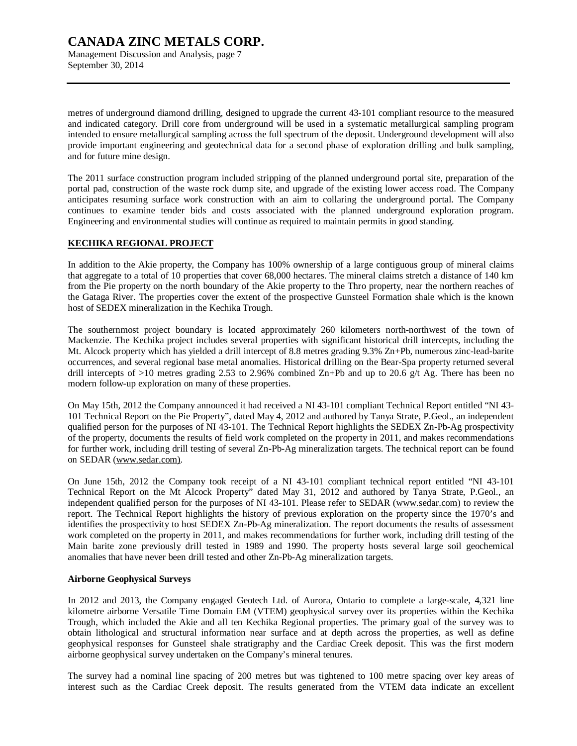### **CANADA ZINC METALS CORP.**  Management Discussion and Analysis, page 7

September 30, 2014

metres of underground diamond drilling, designed to upgrade the current 43-101 compliant resource to the measured and indicated category. Drill core from underground will be used in a systematic metallurgical sampling program intended to ensure metallurgical sampling across the full spectrum of the deposit. Underground development will also provide important engineering and geotechnical data for a second phase of exploration drilling and bulk sampling, and for future mine design.

The 2011 surface construction program included stripping of the planned underground portal site, preparation of the portal pad, construction of the waste rock dump site, and upgrade of the existing lower access road. The Company anticipates resuming surface work construction with an aim to collaring the underground portal. The Company continues to examine tender bids and costs associated with the planned underground exploration program. Engineering and environmental studies will continue as required to maintain permits in good standing.

### **KECHIKA REGIONAL PROJECT**

In addition to the Akie property, the Company has 100% ownership of a large contiguous group of mineral claims that aggregate to a total of 10 properties that cover 68,000 hectares. The mineral claims stretch a distance of 140 km from the Pie property on the north boundary of the Akie property to the Thro property, near the northern reaches of the Gataga River. The properties cover the extent of the prospective Gunsteel Formation shale which is the known host of SEDEX mineralization in the Kechika Trough.

The southernmost project boundary is located approximately 260 kilometers north-northwest of the town of Mackenzie. The Kechika project includes several properties with significant historical drill intercepts, including the Mt. Alcock property which has yielded a drill intercept of 8.8 metres grading 9.3% Zn+Pb, numerous zinc-lead-barite occurrences, and several regional base metal anomalies. Historical drilling on the Bear-Spa property returned several drill intercepts of  $>10$  metres grading 2.53 to 2.96% combined Zn+Pb and up to 20.6 g/t Ag. There has been no modern follow-up exploration on many of these properties.

On May 15th, 2012 the Company announced it had received a NI 43-101 compliant Technical Report entitled "NI 43- 101 Technical Report on the Pie Property", dated May 4, 2012 and authored by Tanya Strate, P.Geol., an independent qualified person for the purposes of NI 43-101. The Technical Report highlights the SEDEX Zn-Pb-Ag prospectivity of the property, documents the results of field work completed on the property in 2011, and makes recommendations for further work, including drill testing of several Zn-Pb-Ag mineralization targets. The technical report can be found on SEDAR [\(www.sedar.com\).](http://www.sedar.com))

On June 15th, 2012 the Company took receipt of a NI 43-101 compliant technical report entitled "NI 43-101 Technical Report on the Mt Alcock Property" dated May 31, 2012 and authored by Tanya Strate, P.Geol., an independent qualified person for the purposes of NI 43-101. Please refer to SEDAR [\(www.sedar.com\)](http://www.sedar.com)) to review the report. The Technical Report highlights the history of previous exploration on the property since the 1970's and identifies the prospectivity to host SEDEX Zn-Pb-Ag mineralization. The report documents the results of assessment work completed on the property in 2011, and makes recommendations for further work, including drill testing of the Main barite zone previously drill tested in 1989 and 1990. The property hosts several large soil geochemical anomalies that have never been drill tested and other Zn-Pb-Ag mineralization targets.

### **Airborne Geophysical Surveys**

In 2012 and 2013, the Company engaged Geotech Ltd. of Aurora, Ontario to complete a large-scale, 4,321 line kilometre airborne Versatile Time Domain EM (VTEM) geophysical survey over its properties within the Kechika Trough, which included the Akie and all ten Kechika Regional properties. The primary goal of the survey was to obtain lithological and structural information near surface and at depth across the properties, as well as define geophysical responses for Gunsteel shale stratigraphy and the Cardiac Creek deposit. This was the first modern airborne geophysical survey undertaken on the Company's mineral tenures.

The survey had a nominal line spacing of 200 metres but was tightened to 100 metre spacing over key areas of interest such as the Cardiac Creek deposit. The results generated from the VTEM data indicate an excellent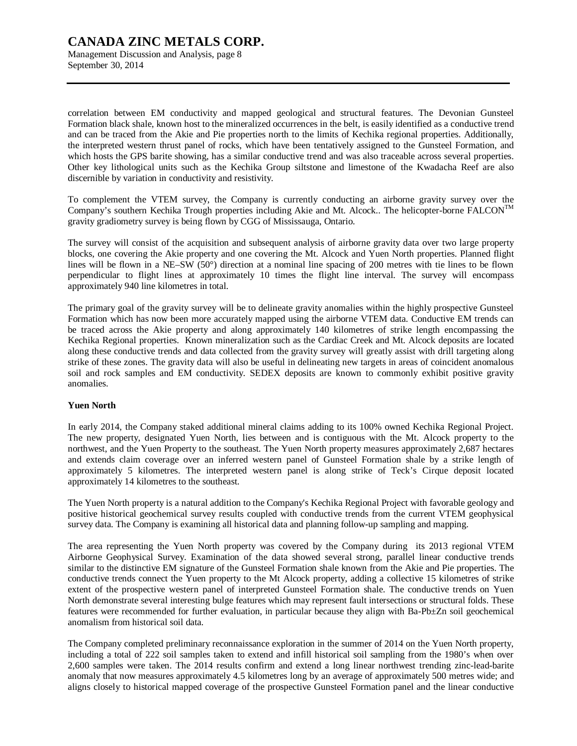Management Discussion and Analysis, page 8 September 30, 2014

correlation between EM conductivity and mapped geological and structural features. The Devonian Gunsteel Formation black shale, known host to the mineralized occurrences in the belt, is easily identified as a conductive trend and can be traced from the Akie and Pie properties north to the limits of Kechika regional properties. Additionally, the interpreted western thrust panel of rocks, which have been tentatively assigned to the Gunsteel Formation, and which hosts the GPS barite showing, has a similar conductive trend and was also traceable across several properties. Other key lithological units such as the Kechika Group siltstone and limestone of the Kwadacha Reef are also discernible by variation in conductivity and resistivity.

To complement the VTEM survey, the Company is currently conducting an airborne gravity survey over the Company's southern Kechika Trough properties including Akie and Mt. Alcock.. The helicopter-borne  $FALCON^{TM}$ gravity gradiometry survey is being flown by CGG of Mississauga, Ontario.

The survey will consist of the acquisition and subsequent analysis of airborne gravity data over two large property blocks, one covering the Akie property and one covering the Mt. Alcock and Yuen North properties. Planned flight lines will be flown in a NE–SW (50°) direction at a nominal line spacing of 200 metres with tie lines to be flown perpendicular to flight lines at approximately 10 times the flight line interval. The survey will encompass approximately 940 line kilometres in total.

The primary goal of the gravity survey will be to delineate gravity anomalies within the highly prospective Gunsteel Formation which has now been more accurately mapped using the airborne VTEM data. Conductive EM trends can be traced across the Akie property and along approximately 140 kilometres of strike length encompassing the Kechika Regional properties. Known mineralization such as the Cardiac Creek and Mt. Alcock deposits are located along these conductive trends and data collected from the gravity survey will greatly assist with drill targeting along strike of these zones. The gravity data will also be useful in delineating new targets in areas of coincident anomalous soil and rock samples and EM conductivity. SEDEX deposits are known to commonly exhibit positive gravity anomalies.

### **Yuen North**

In early 2014, the Company staked additional mineral claims adding to its 100% owned Kechika Regional Project. The new property, designated Yuen North, lies between and is contiguous with the Mt. Alcock property to the northwest, and the Yuen Property to the southeast. The Yuen North property measures approximately 2,687 hectares and extends claim coverage over an inferred western panel of Gunsteel Formation shale by a strike length of approximately 5 kilometres. The interpreted western panel is along strike of Teck's Cirque deposit located approximately 14 kilometres to the southeast.

The Yuen North property is a natural addition to the Company's Kechika Regional Project with favorable geology and positive historical geochemical survey results coupled with conductive trends from the current VTEM geophysical survey data. The Company is examining all historical data and planning follow-up sampling and mapping.

The area representing the Yuen North property was covered by the Company during its 2013 regional VTEM Airborne Geophysical Survey. Examination of the data showed several strong, parallel linear conductive trends similar to the distinctive EM signature of the Gunsteel Formation shale known from the Akie and Pie properties. The conductive trends connect the Yuen property to the Mt Alcock property, adding a collective 15 kilometres of strike extent of the prospective western panel of interpreted Gunsteel Formation shale. The conductive trends on Yuen North demonstrate several interesting bulge features which may represent fault intersections or structural folds. These features were recommended for further evaluation, in particular because they align with Ba-Pb±Zn soil geochemical anomalism from historical soil data.

The Company completed preliminary reconnaissance exploration in the summer of 2014 on the Yuen North property, including a total of 222 soil samples taken to extend and infill historical soil sampling from the 1980's when over 2,600 samples were taken. The 2014 results confirm and extend a long linear northwest trending zinc-lead-barite anomaly that now measures approximately 4.5 kilometres long by an average of approximately 500 metres wide; and aligns closely to historical mapped coverage of the prospective Gunsteel Formation panel and the linear conductive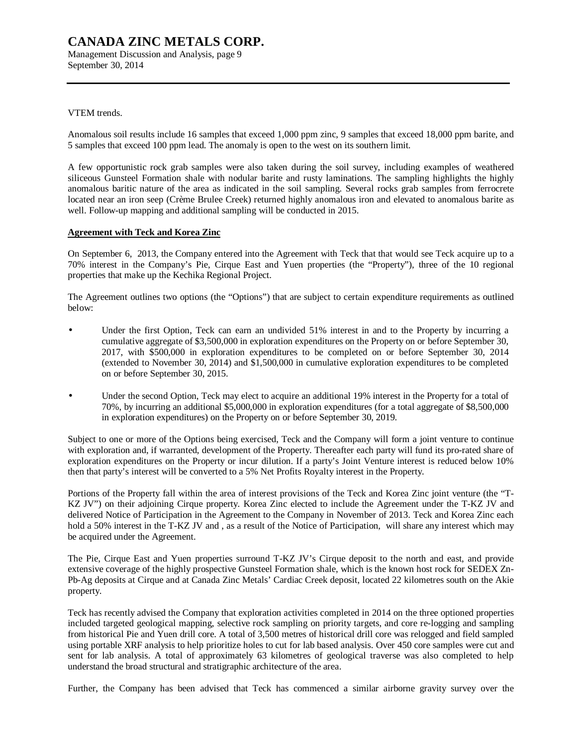Management Discussion and Analysis, page 9 September 30, 2014

#### VTEM trends.

Anomalous soil results include 16 samples that exceed 1,000 ppm zinc, 9 samples that exceed 18,000 ppm barite, and 5 samples that exceed 100 ppm lead. The anomaly is open to the west on its southern limit.

A few opportunistic rock grab samples were also taken during the soil survey, including examples of weathered siliceous Gunsteel Formation shale with nodular barite and rusty laminations. The sampling highlights the highly anomalous baritic nature of the area as indicated in the soil sampling. Several rocks grab samples from ferrocrete located near an iron seep (Crème Brulee Creek) returned highly anomalous iron and elevated to anomalous barite as well. Follow-up mapping and additional sampling will be conducted in 2015.

#### **Agreement with Teck and Korea Zinc**

On September 6, 2013, the Company entered into the Agreement with Teck that that would see Teck acquire up to a 70% interest in the Company's Pie, Cirque East and Yuen properties (the "Property"), three of the 10 regional properties that make up the Kechika Regional Project.

The Agreement outlines two options (the "Options") that are subject to certain expenditure requirements as outlined below:

- Under the first Option, Teck can earn an undivided 51% interest in and to the Property by incurring a cumulative aggregate of \$3,500,000 in exploration expenditures on the Property on or before September 30, 2017, with \$500,000 in exploration expenditures to be completed on or before September 30, 2014 (extended to November 30, 2014) and \$1,500,000 in cumulative exploration expenditures to be completed on or before September 30, 2015.
- Under the second Option, Teck may elect to acquire an additional 19% interest in the Property for a total of 70%, by incurring an additional \$5,000,000 in exploration expenditures (for a total aggregate of \$8,500,000 in exploration expenditures) on the Property on or before September 30, 2019.

Subject to one or more of the Options being exercised, Teck and the Company will form a joint venture to continue with exploration and, if warranted, development of the Property. Thereafter each party will fund its pro-rated share of exploration expenditures on the Property or incur dilution. If a party's Joint Venture interest is reduced below 10% then that party's interest will be converted to a 5% Net Profits Royalty interest in the Property.

Portions of the Property fall within the area of interest provisions of the Teck and Korea Zinc joint venture (the "T-KZ JV") on their adjoining Cirque property. Korea Zinc elected to include the Agreement under the T-KZ JV and delivered Notice of Participation in the Agreement to the Company in November of 2013. Teck and Korea Zinc each hold a 50% interest in the T-KZ JV and, as a result of the Notice of Participation, will share any interest which may be acquired under the Agreement.

The Pie, Cirque East and Yuen properties surround T-KZ JV's Cirque deposit to the north and east, and provide extensive coverage of the highly prospective Gunsteel Formation shale, which is the known host rock for SEDEX Zn-Pb-Ag deposits at Cirque and at Canada Zinc Metals' Cardiac Creek deposit, located 22 kilometres south on the Akie property.

Teck has recently advised the Company that exploration activities completed in 2014 on the three optioned properties included targeted geological mapping, selective rock sampling on priority targets, and core re-logging and sampling from historical Pie and Yuen drill core. A total of 3,500 metres of historical drill core was relogged and field sampled using portable XRF analysis to help prioritize holes to cut for lab based analysis. Over 450 core samples were cut and sent for lab analysis. A total of approximately 63 kilometres of geological traverse was also completed to help understand the broad structural and stratigraphic architecture of the area.

Further, the Company has been advised that Teck has commenced a similar airborne gravity survey over the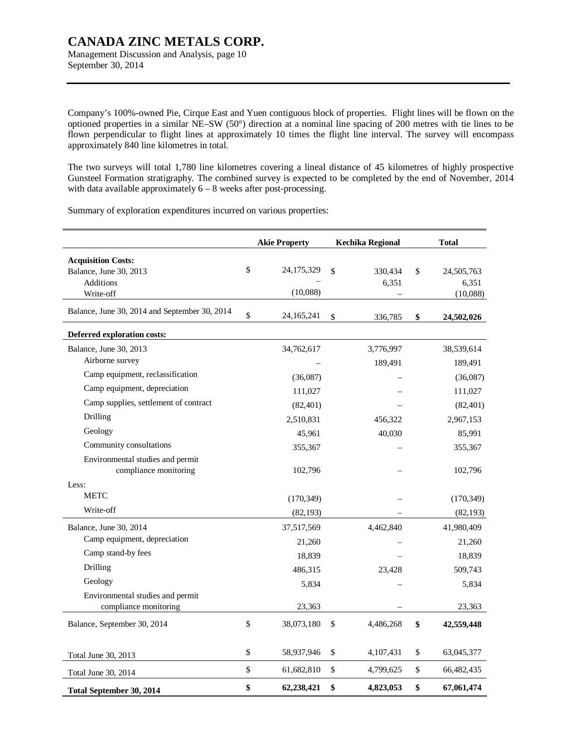Management Discussion and Analysis, page 10 September 30, 2014

Company's 100%-owned Pie, Cirque East and Yuen contiguous block of properties. Flight lines will be flown on the optioned properties in a similar NE–SW (50°) direction at a nominal line spacing of 200 metres with tie lines to be flown perpendicular to flight lines at approximately 10 times the flight line interval. The survey will encompass approximately 840 line kilometres in total.

The two surveys will total 1,780 line kilometres covering a lineal distance of 45 kilometres of highly prospective Gunsteel Formation stratigraphy. The combined survey is expected to be completed by the end of November, 2014 with data available approximately  $6 - 8$  weeks after post-processing.

Summary of exploration expenditures incurred on various properties:

|                                               | <b>Akie Property</b> | <b>Kechika Regional</b> | <b>Total</b>     |
|-----------------------------------------------|----------------------|-------------------------|------------------|
| <b>Acquisition Costs:</b>                     |                      |                         |                  |
| Balance, June 30, 2013                        | \$<br>24, 175, 329   | \$<br>330,434           | \$<br>24,505,763 |
| <b>Additions</b>                              |                      | 6,351                   | 6,351            |
| Write-off                                     | (10,088)             |                         | (10,088)         |
| Balance, June 30, 2014 and September 30, 2014 | \$<br>24, 165, 241   | \$<br>336,785           | \$<br>24,502,026 |
| Deferred exploration costs:                   |                      |                         |                  |
| Balance, June 30, 2013                        | 34,762,617           | 3,776,997               | 38,539,614       |
| Airborne survey                               |                      | 189,491                 | 189,491          |
| Camp equipment, reclassification              | (36,087)             |                         | (36,087)         |
| Camp equipment, depreciation                  | 111,027              |                         | 111,027          |
| Camp supplies, settlement of contract         | (82, 401)            |                         | (82, 401)        |
| Drilling                                      | 2,510,831            | 456,322                 | 2,967,153        |
| Geology                                       | 45,961               | 40.030                  | 85,991           |
| Community consultations                       | 355,367              |                         | 355,367          |
| Environmental studies and permit              |                      |                         |                  |
| compliance monitoring                         | 102,796              |                         | 102,796          |
| Less:                                         |                      |                         |                  |
| <b>METC</b>                                   | (170, 349)           |                         | (170, 349)       |
| Write-off                                     | (82, 193)            |                         | (82, 193)        |
| Balance, June 30, 2014                        | 37,517,569           | 4,462,840               | 41,980,409       |
| Camp equipment, depreciation                  | 21,260               |                         | 21,260           |
| Camp stand-by fees                            | 18,839               |                         | 18,839           |
| Drilling                                      | 486,315              | 23,428                  | 509,743          |
| Geology                                       | 5,834                |                         | 5,834            |
| Environmental studies and permit              |                      |                         |                  |
| compliance monitoring                         | 23,363               |                         | 23,363           |
| Balance, September 30, 2014                   | \$<br>38,073,180     | \$<br>4,486,268         | \$<br>42,559,448 |
| Total June 30, 2013                           | \$<br>58,937,946     | \$<br>4,107,431         | \$<br>63,045,377 |
| Total June 30, 2014                           | \$<br>61,682,810     | \$<br>4,799,625         | \$<br>66,482,435 |
| Total September 30, 2014                      | \$<br>62,238,421     | \$<br>4,823,053         | \$<br>67,061,474 |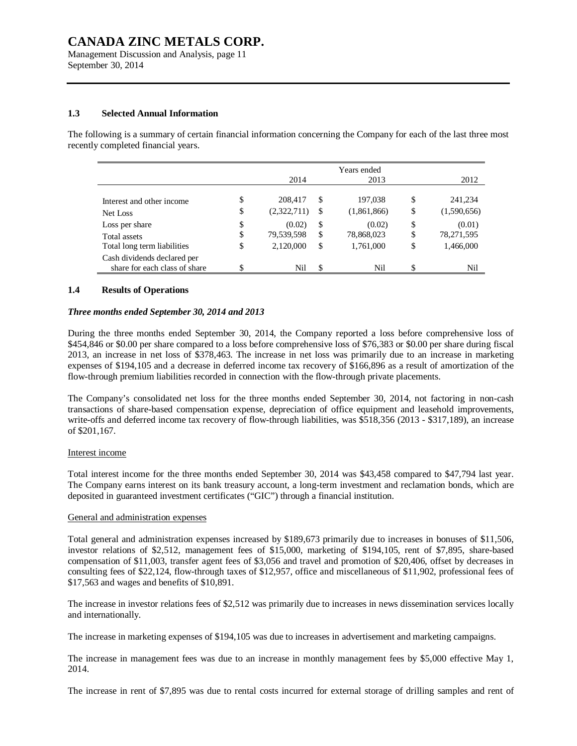Management Discussion and Analysis, page 11 September 30, 2014

#### **1.3 Selected Annual Information**

The following is a summary of certain financial information concerning the Company for each of the last three most recently completed financial years.

|                                                              | 2014              |    | Years ended<br>2013 |    | 2012        |
|--------------------------------------------------------------|-------------------|----|---------------------|----|-------------|
|                                                              |                   |    |                     |    |             |
| Interest and other income                                    | \$<br>208,417     | S  | 197,038             | \$ | 241,234     |
| Net Loss                                                     | \$<br>(2,322,711) | S  | (1,861,866)         | \$ | (1,590,656) |
| Loss per share                                               | \$<br>(0.02)      | \$ | (0.02)              | \$ | (0.01)      |
| Total assets                                                 | \$<br>79,539,598  | \$ | 78,868,023          | \$ | 78,271,595  |
| Total long term liabilities                                  | \$<br>2,120,000   | \$ | 1,761,000           | \$ | 1,466,000   |
| Cash dividends declared per<br>share for each class of share | Nil               | \$ | Nil                 | S  | Nil         |
|                                                              |                   |    |                     |    |             |

#### **1.4 Results of Operations**

#### *Three months ended September 30, 2014 and 2013*

During the three months ended September 30, 2014, the Company reported a loss before comprehensive loss of \$454,846 or \$0.00 per share compared to a loss before comprehensive loss of \$76,383 or \$0.00 per share during fiscal 2013, an increase in net loss of \$378,463. The increase in net loss was primarily due to an increase in marketing expenses of \$194,105 and a decrease in deferred income tax recovery of \$166,896 as a result of amortization of the flow-through premium liabilities recorded in connection with the flow-through private placements.

The Company's consolidated net loss for the three months ended September 30, 2014, not factoring in non-cash transactions of share-based compensation expense, depreciation of office equipment and leasehold improvements, write-offs and deferred income tax recovery of flow-through liabilities, was \$518,356 (2013 - \$317,189), an increase of \$201,167.

#### Interest income

Total interest income for the three months ended September 30, 2014 was \$43,458 compared to \$47,794 last year. The Company earns interest on its bank treasury account, a long-term investment and reclamation bonds, which are deposited in guaranteed investment certificates ("GIC") through a financial institution.

#### General and administration expenses

Total general and administration expenses increased by \$189,673 primarily due to increases in bonuses of \$11,506, investor relations of \$2,512, management fees of \$15,000, marketing of \$194,105, rent of \$7,895, share-based compensation of \$11,003, transfer agent fees of \$3,056 and travel and promotion of \$20,406, offset by decreases in consulting fees of \$22,124, flow-through taxes of \$12,957, office and miscellaneous of \$11,902, professional fees of \$17,563 and wages and benefits of \$10,891.

The increase in investor relations fees of \$2,512 was primarily due to increases in news dissemination services locally and internationally.

The increase in marketing expenses of \$194,105 was due to increases in advertisement and marketing campaigns.

The increase in management fees was due to an increase in monthly management fees by \$5,000 effective May 1, 2014.

The increase in rent of \$7,895 was due to rental costs incurred for external storage of drilling samples and rent of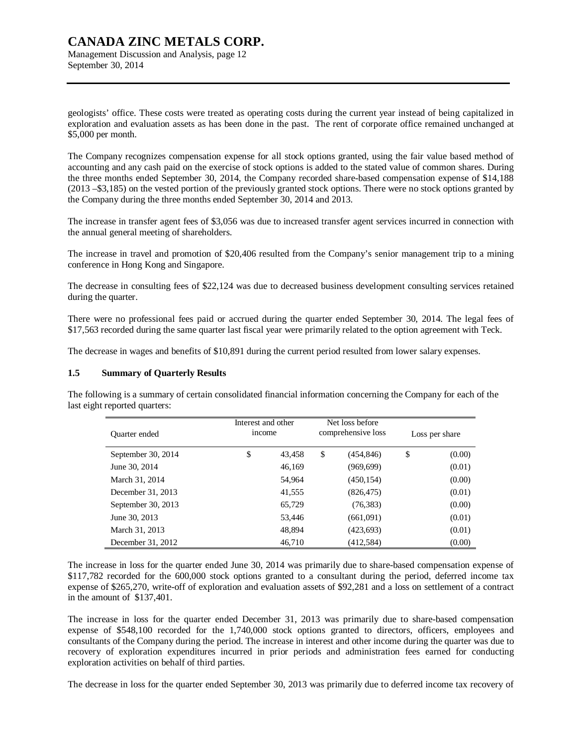Management Discussion and Analysis, page 12 September 30, 2014

geologists' office. These costs were treated as operating costs during the current year instead of being capitalized in exploration and evaluation assets as has been done in the past. The rent of corporate office remained unchanged at \$5,000 per month.

The Company recognizes compensation expense for all stock options granted, using the fair value based method of accounting and any cash paid on the exercise of stock options is added to the stated value of common shares. During the three months ended September 30, 2014, the Company recorded share-based compensation expense of \$14,188 (2013 –\$3,185) on the vested portion of the previously granted stock options. There were no stock options granted by the Company during the three months ended September 30, 2014 and 2013.

The increase in transfer agent fees of \$3,056 was due to increased transfer agent services incurred in connection with the annual general meeting of shareholders.

The increase in travel and promotion of \$20,406 resulted from the Company's senior management trip to a mining conference in Hong Kong and Singapore.

The decrease in consulting fees of \$22,124 was due to decreased business development consulting services retained during the quarter.

There were no professional fees paid or accrued during the quarter ended September 30, 2014. The legal fees of \$17,563 recorded during the same quarter last fiscal year were primarily related to the option agreement with Teck.

The decrease in wages and benefits of \$10,891 during the current period resulted from lower salary expenses.

#### **1.5 Summary of Quarterly Results**

The following is a summary of certain consolidated financial information concerning the Company for each of the last eight reported quarters:

| Quarter ended      | Interest and other<br>income |        | Net loss before<br>comprehensive loss | Loss per share |
|--------------------|------------------------------|--------|---------------------------------------|----------------|
| September 30, 2014 | \$                           | 43,458 | \$<br>(454, 846)                      | \$<br>(0.00)   |
| June 30, 2014      |                              | 46,169 | (969, 699)                            | (0.01)         |
| March 31, 2014     |                              | 54,964 | (450, 154)                            | (0.00)         |
| December 31, 2013  |                              | 41,555 | (826, 475)                            | (0.01)         |
| September 30, 2013 |                              | 65,729 | (76, 383)                             | (0.00)         |
| June 30, 2013      |                              | 53,446 | (661,091)                             | (0.01)         |
| March 31, 2013     |                              | 48,894 | (423, 693)                            | (0.01)         |
| December 31, 2012  |                              | 46,710 | (412,584)                             | (0.00)         |

The increase in loss for the quarter ended June 30, 2014 was primarily due to share-based compensation expense of \$117,782 recorded for the 600,000 stock options granted to a consultant during the period, deferred income tax expense of \$265,270, write-off of exploration and evaluation assets of \$92,281 and a loss on settlement of a contract in the amount of \$137,401.

The increase in loss for the quarter ended December 31, 2013 was primarily due to share-based compensation expense of \$548,100 recorded for the 1,740,000 stock options granted to directors, officers, employees and consultants of the Company during the period. The increase in interest and other income during the quarter was due to recovery of exploration expenditures incurred in prior periods and administration fees earned for conducting exploration activities on behalf of third parties.

The decrease in loss for the quarter ended September 30, 2013 was primarily due to deferred income tax recovery of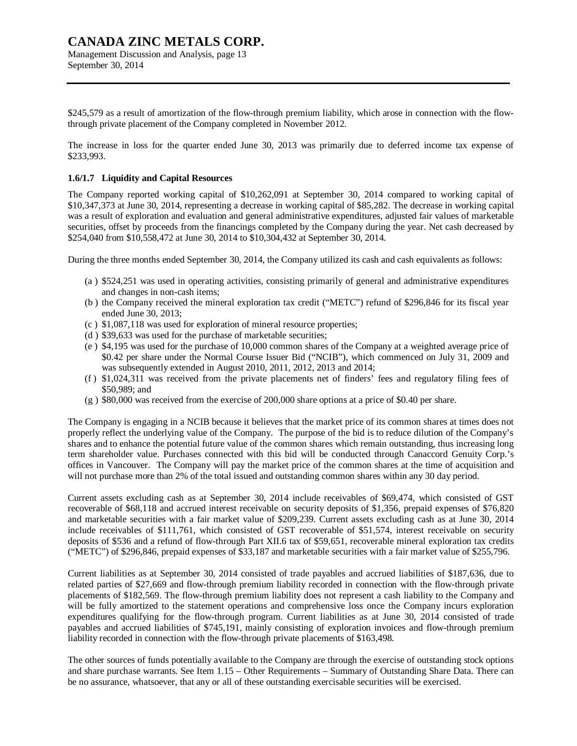\$245,579 as a result of amortization of the flow-through premium liability, which arose in connection with the flowthrough private placement of the Company completed in November 2012.

The increase in loss for the quarter ended June 30, 2013 was primarily due to deferred income tax expense of \$233,993.

#### **1.6/1.7 Liquidity and Capital Resources**

The Company reported working capital of \$10,262,091 at September 30, 2014 compared to working capital of \$10,347,373 at June 30, 2014, representing a decrease in working capital of \$85,282. The decrease in working capital was a result of exploration and evaluation and general administrative expenditures, adjusted fair values of marketable securities, offset by proceeds from the financings completed by the Company during the year. Net cash decreased by \$254,040 from \$10,558,472 at June 30, 2014 to \$10,304,432 at September 30, 2014.

During the three months ended September 30, 2014, the Company utilized its cash and cash equivalents as follows:

- (a ) \$524,251 was used in operating activities, consisting primarily of general and administrative expenditures and changes in non-cash items;
- (b ) the Company received the mineral exploration tax credit ("METC") refund of \$296,846 for its fiscal year ended June 30, 2013;
- (c ) \$1,087,118 was used for exploration of mineral resource properties;
- (d ) \$39,633 was used for the purchase of marketable securities;
- (e ) \$4,195 was used for the purchase of 10,000 common shares of the Company at a weighted average price of \$0.42 per share under the Normal Course Issuer Bid ("NCIB"), which commenced on July 31, 2009 and was subsequently extended in August 2010, 2011, 2012, 2013 and 2014;
- (f ) \$1,024,311 was received from the private placements net of finders' fees and regulatory filing fees of \$50,989; and
- $(g)$  \$80,000 was received from the exercise of 200,000 share options at a price of \$0.40 per share.

The Company is engaging in a NCIB because it believes that the market price of its common shares at times does not properly reflect the underlying value of the Company. The purpose of the bid is to reduce dilution of the Company's shares and to enhance the potential future value of the common shares which remain outstanding, thus increasing long term shareholder value. Purchases connected with this bid will be conducted through Canaccord Genuity Corp.'s offices in Vancouver. The Company will pay the market price of the common shares at the time of acquisition and will not purchase more than 2% of the total issued and outstanding common shares within any 30 day period.

Current assets excluding cash as at September 30, 2014 include receivables of \$69,474, which consisted of GST recoverable of \$68,118 and accrued interest receivable on security deposits of \$1,356, prepaid expenses of \$76,820 and marketable securities with a fair market value of \$209,239. Current assets excluding cash as at June 30, 2014 include receivables of \$111,761, which consisted of GST recoverable of \$51,574, interest receivable on security deposits of \$536 and a refund of flow-through Part XII.6 tax of \$59,651, recoverable mineral exploration tax credits ("METC") of \$296,846, prepaid expenses of \$33,187 and marketable securities with a fair market value of \$255,796.

Current liabilities as at September 30, 2014 consisted of trade payables and accrued liabilities of \$187,636, due to related parties of \$27,669 and flow-through premium liability recorded in connection with the flow-through private placements of \$182,569. The flow-through premium liability does not represent a cash liability to the Company and will be fully amortized to the statement operations and comprehensive loss once the Company incurs exploration expenditures qualifying for the flow-through program. Current liabilities as at June 30, 2014 consisted of trade payables and accrued liabilities of \$745,191, mainly consisting of exploration invoices and flow-through premium liability recorded in connection with the flow-through private placements of \$163,498.

The other sources of funds potentially available to the Company are through the exercise of outstanding stock options and share purchase warrants. See Item 1.15 – Other Requirements – Summary of Outstanding Share Data. There can be no assurance, whatsoever, that any or all of these outstanding exercisable securities will be exercised.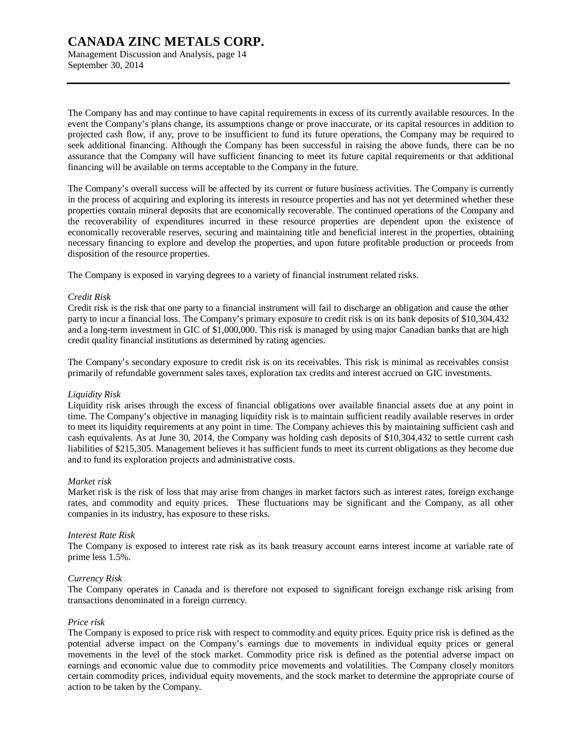Management Discussion and Analysis, page 14 September 30, 2014

The Company has and may continue to have capital requirements in excess of its currently available resources. In the event the Company's plans change, its assumptions change or prove inaccurate, or its capital resources in addition to projected cash flow, if any, prove to be insufficient to fund its future operations, the Company may be required to seek additional financing. Although the Company has been successful in raising the above funds, there can be no assurance that the Company will have sufficient financing to meet its future capital requirements or that additional financing will be available on terms acceptable to the Company in the future.

The Company's overall success will be affected by its current or future business activities. The Company is currently in the process of acquiring and exploring its interests in resource properties and has not yet determined whether these properties contain mineral deposits that are economically recoverable. The continued operations of the Company and the recoverability of expenditures incurred in these resource properties are dependent upon the existence of economically recoverable reserves, securing and maintaining title and beneficial interest in the properties, obtaining necessary financing to explore and develop the properties, and upon future profitable production or proceeds from disposition of the resource properties.

The Company is exposed in varying degrees to a variety of financial instrument related risks.

#### *Credit Risk*

Credit risk is the risk that one party to a financial instrument will fail to discharge an obligation and cause the other party to incur a financial loss. The Company's primary exposure to credit risk is on its bank deposits of \$10,304,432 and a long-term investment in GIC of \$1,000,000. This risk is managed by using major Canadian banks that are high credit quality financial institutions as determined by rating agencies.

The Company's secondary exposure to credit risk is on its receivables. This risk is minimal as receivables consist primarily of refundable government sales taxes, exploration tax credits and interest accrued on GIC investments.

#### *Liquidity Risk*

Liquidity risk arises through the excess of financial obligations over available financial assets due at any point in time. The Company's objective in managing liquidity risk is to maintain sufficient readily available reserves in order to meet its liquidity requirements at any point in time. The Company achieves this by maintaining sufficient cash and cash equivalents. As at June 30, 2014, the Company was holding cash deposits of \$10,304,432 to settle current cash liabilities of \$215,305. Management believes it has sufficient funds to meet its current obligations as they become due and to fund its exploration projects and administrative costs.

### *Market risk*

Market risk is the risk of loss that may arise from changes in market factors such as interest rates, foreign exchange rates, and commodity and equity prices. These fluctuations may be significant and the Company, as all other companies in its industry, has exposure to these risks.

#### *Interest Rate Risk*

The Company is exposed to interest rate risk as its bank treasury account earns interest income at variable rate of prime less 1.5%.

#### *Currency Risk*

The Company operates in Canada and is therefore not exposed to significant foreign exchange risk arising from transactions denominated in a foreign currency.

### *Price risk*

The Company is exposed to price risk with respect to commodity and equity prices. Equity price risk is defined as the potential adverse impact on the Company's earnings due to movements in individual equity prices or general movements in the level of the stock market. Commodity price risk is defined as the potential adverse impact on earnings and economic value due to commodity price movements and volatilities. The Company closely monitors certain commodity prices, individual equity movements, and the stock market to determine the appropriate course of action to be taken by the Company.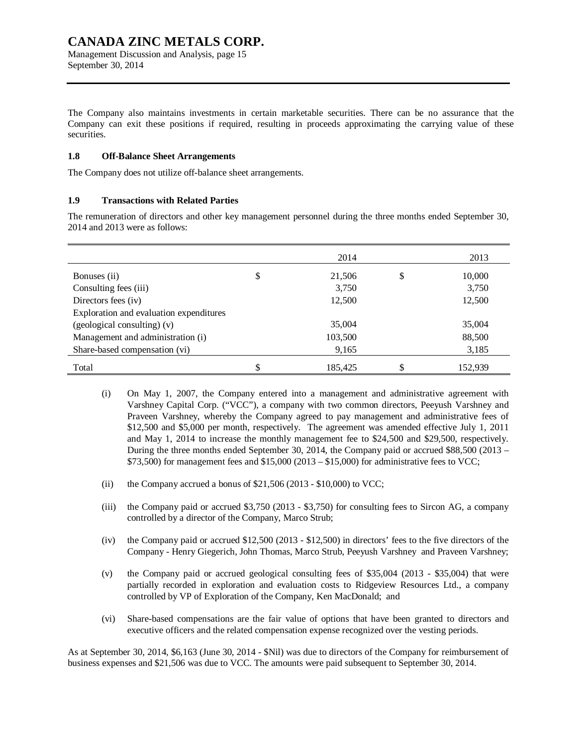Management Discussion and Analysis, page 15 September 30, 2014

The Company also maintains investments in certain marketable securities. There can be no assurance that the Company can exit these positions if required, resulting in proceeds approximating the carrying value of these securities.

#### **1.8 Off-Balance Sheet Arrangements**

The Company does not utilize off-balance sheet arrangements.

### **1.9 Transactions with Related Parties**

The remuneration of directors and other key management personnel during the three months ended September 30, 2014 and 2013 were as follows:

|                                         | 2014          | 2013          |
|-----------------------------------------|---------------|---------------|
| Bonuses (ii)                            | \$<br>21,506  | \$<br>10,000  |
| Consulting fees (iii)                   | 3,750         | 3,750         |
| Directors fees (iv)                     | 12,500        | 12,500        |
| Exploration and evaluation expenditures |               |               |
| (geological consulting) (v)             | 35,004        | 35,004        |
| Management and administration (i)       | 103,500       | 88,500        |
| Share-based compensation (vi)           | 9,165         | 3,185         |
| Total                                   | \$<br>185.425 | \$<br>152,939 |

- (i) On May 1, 2007, the Company entered into a management and administrative agreement with Varshney Capital Corp. ("VCC"), a company with two common directors, Peeyush Varshney and Praveen Varshney, whereby the Company agreed to pay management and administrative fees of \$12,500 and \$5,000 per month, respectively. The agreement was amended effective July 1, 2011 and May 1, 2014 to increase the monthly management fee to \$24,500 and \$29,500, respectively. During the three months ended September 30, 2014, the Company paid or accrued \$88,500 (2013 – \$73,500) for management fees and \$15,000 (2013 – \$15,000) for administrative fees to VCC;
- (ii) the Company accrued a bonus of  $$21,506 (2013 $10,000)$  to VCC;
- (iii) the Company paid or accrued \$3,750 (2013 \$3,750) for consulting fees to Sircon AG, a company controlled by a director of the Company, Marco Strub;
- (iv) the Company paid or accrued \$12,500 (2013 \$12,500) in directors' fees to the five directors of the Company - Henry Giegerich, John Thomas, Marco Strub, Peeyush Varshney and Praveen Varshney;
- (v) the Company paid or accrued geological consulting fees of \$35,004 (2013 \$35,004) that were partially recorded in exploration and evaluation costs to Ridgeview Resources Ltd., a company controlled by VP of Exploration of the Company, Ken MacDonald; and
- (vi) Share-based compensations are the fair value of options that have been granted to directors and executive officers and the related compensation expense recognized over the vesting periods.

As at September 30, 2014, \$6,163 (June 30, 2014 - \$Nil) was due to directors of the Company for reimbursement of business expenses and \$21,506 was due to VCC. The amounts were paid subsequent to September 30, 2014.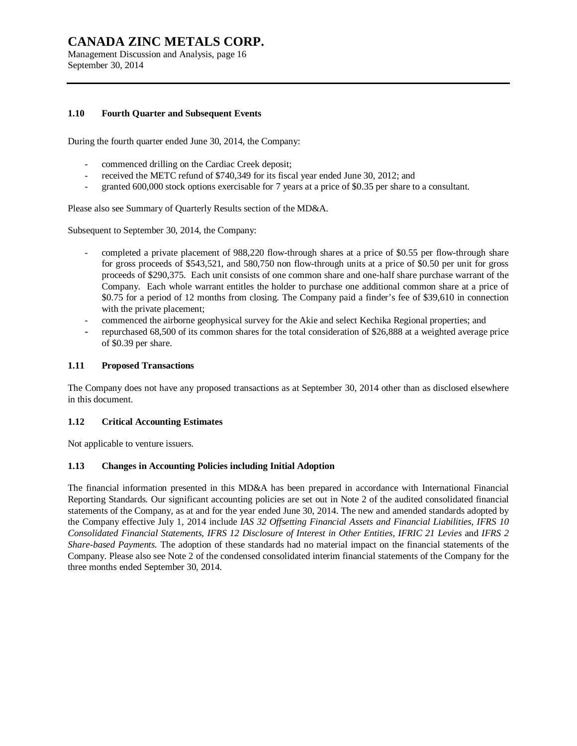Management Discussion and Analysis, page 16 September 30, 2014

#### **1.10 Fourth Quarter and Subsequent Events**

During the fourth quarter ended June 30, 2014, the Company:

- commenced drilling on the Cardiac Creek deposit;
- received the METC refund of \$740,349 for its fiscal year ended June 30, 2012; and
- granted 600,000 stock options exercisable for 7 years at a price of \$0.35 per share to a consultant.

Please also see Summary of Quarterly Results section of the MD&A.

Subsequent to September 30, 2014, the Company:

- completed a private placement of 988,220 flow-through shares at a price of \$0.55 per flow-through share for gross proceeds of \$543,521, and 580,750 non flow-through units at a price of \$0.50 per unit for gross proceeds of \$290,375. Each unit consists of one common share and one-half share purchase warrant of the Company. Each whole warrant entitles the holder to purchase one additional common share at a price of \$0.75 for a period of 12 months from closing. The Company paid a finder's fee of \$39,610 in connection with the private placement;
- commenced the airborne geophysical survey for the Akie and select Kechika Regional properties; and
- repurchased 68,500 of its common shares for the total consideration of \$26,888 at a weighted average price of \$0.39 per share.

#### **1.11 Proposed Transactions**

The Company does not have any proposed transactions as at September 30, 2014 other than as disclosed elsewhere in this document.

#### **1.12 Critical Accounting Estimates**

Not applicable to venture issuers.

#### **1.13 Changes in Accounting Policies including Initial Adoption**

The financial information presented in this MD&A has been prepared in accordance with International Financial Reporting Standards. Our significant accounting policies are set out in Note 2 of the audited consolidated financial statements of the Company, as at and for the year ended June 30, 2014. The new and amended standards adopted by the Company effective July 1, 2014 include *IAS 32 Offsetting Financial Assets and Financial Liabilities, IFRS 10 Consolidated Financial Statements, IFRS 12 Disclosure of Interest in Other Entities, IFRIC 21 Levies* and *IFRS 2 Share-based Payments.* The adoption of these standards had no material impact on the financial statements of the Company. Please also see Note 2 of the condensed consolidated interim financial statements of the Company for the three months ended September 30, 2014.